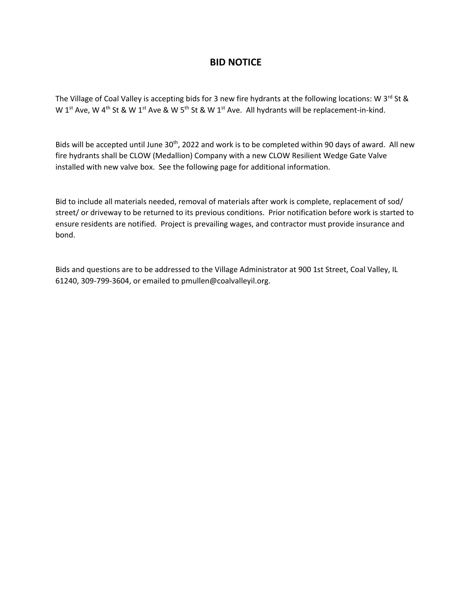## **BID NOTICE**

The Village of Coal Valley is accepting bids for 3 new fire hydrants at the following locations: W 3<sup>rd</sup> St & W 1<sup>st</sup> Ave, W 4<sup>th</sup> St & W 1<sup>st</sup> Ave & W 5<sup>th</sup> St & W 1<sup>st</sup> Ave. All hydrants will be replacement-in-kind.

Bids will be accepted until June 30<sup>th</sup>, 2022 and work is to be completed within 90 days of award. All new fire hydrants shall be CLOW (Medallion) Company with a new CLOW Resilient Wedge Gate Valve installed with new valve box. See the following page for additional information.

Bid to include all materials needed, removal of materials after work is complete, replacement of sod/ street/ or driveway to be returned to its previous conditions. Prior notification before work is started to ensure residents are notified. Project is prevailing wages, and contractor must provide insurance and bond.

Bids and questions are to be addressed to the Village Administrator at 900 1st Street, Coal Valley, IL 61240, 309-799-3604, or emailed to pmullen@coalvalleyil.org.